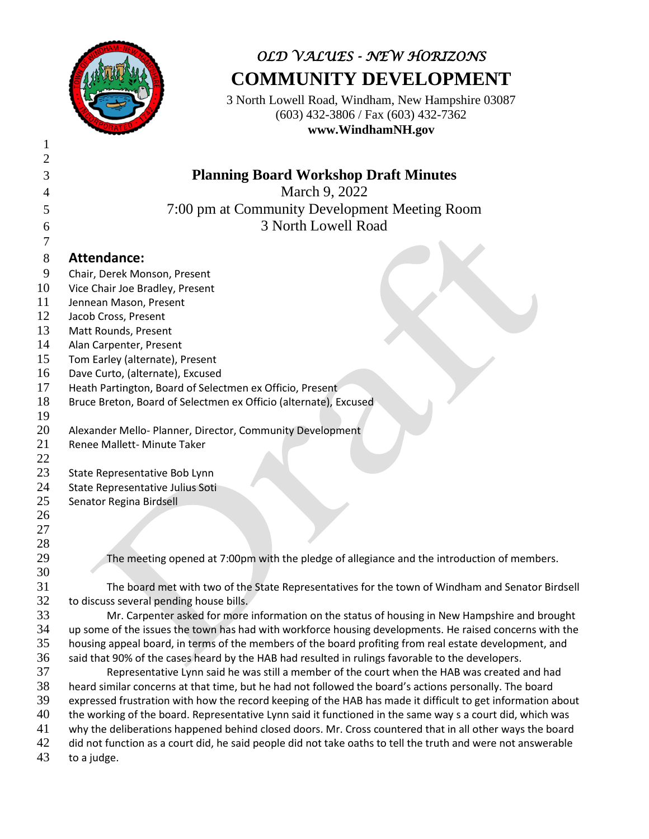

## *OLD VALUES - NEW HORIZONS* **COMMUNITY DEVELOPMENT**

3 North Lowell Road, Windham, New Hampshire 03087 (603) 432-3806 / Fax (603) 432-7362 **www.WindhamNH.gov**

| $\mathbf{2}$ |                                                                                                              |
|--------------|--------------------------------------------------------------------------------------------------------------|
| 3            | <b>Planning Board Workshop Draft Minutes</b>                                                                 |
| 4            | March 9, 2022                                                                                                |
|              | 7:00 pm at Community Development Meeting Room                                                                |
| 5            |                                                                                                              |
| 6            | 3 North Lowell Road                                                                                          |
| 7            |                                                                                                              |
| 8            | <b>Attendance:</b>                                                                                           |
| 9            | Chair, Derek Monson, Present                                                                                 |
| 10           | Vice Chair Joe Bradley, Present                                                                              |
| 11           | Jennean Mason, Present                                                                                       |
| 12           | Jacob Cross, Present                                                                                         |
| 13           | Matt Rounds, Present                                                                                         |
| 14           | Alan Carpenter, Present                                                                                      |
| 15           | Tom Earley (alternate), Present                                                                              |
| 16           | Dave Curto, (alternate), Excused                                                                             |
| 17           | Heath Partington, Board of Selectmen ex Officio, Present                                                     |
| 18           | Bruce Breton, Board of Selectmen ex Officio (alternate), Excused                                             |
| 19           |                                                                                                              |
| 20<br>21     | Alexander Mello- Planner, Director, Community Development<br>Renee Mallett- Minute Taker                     |
| 22           |                                                                                                              |
| 23           | State Representative Bob Lynn                                                                                |
| 24           | State Representative Julius Soti                                                                             |
| 25           | Senator Regina Birdsell                                                                                      |
| 26           |                                                                                                              |
| 27           |                                                                                                              |
| 28           |                                                                                                              |
| 29           | The meeting opened at 7:00pm with the pledge of allegiance and the introduction of members.                  |
| 30           |                                                                                                              |
| 31           | The board met with two of the State Representatives for the town of Windham and Senator Birdsell             |
| 32           | to discuss several pending house bills.                                                                      |
| 33           | Mr. Carpenter asked for more information on the status of housing in New Hampshire and brought               |
| 34           | up some of the issues the town has had with workforce housing developments. He raised concerns with the      |
| 35           | housing appeal board, in terms of the members of the board profiting from real estate development, and       |
| 36           | said that 90% of the cases heard by the HAB had resulted in rulings favorable to the developers.             |
| 37           | Representative Lynn said he was still a member of the court when the HAB was created and had                 |
| 38           | heard similar concerns at that time, but he had not followed the board's actions personally. The board       |
| 39           | expressed frustration with how the record keeping of the HAB has made it difficult to get information about  |
| 40           | the working of the board. Representative Lynn said it functioned in the same way s a court did, which was    |
| 41           | why the deliberations happened behind closed doors. Mr. Cross countered that in all other ways the board     |
| 42           | did not function as a court did, he said people did not take oaths to tell the truth and were not answerable |
| 43           | to a judge.                                                                                                  |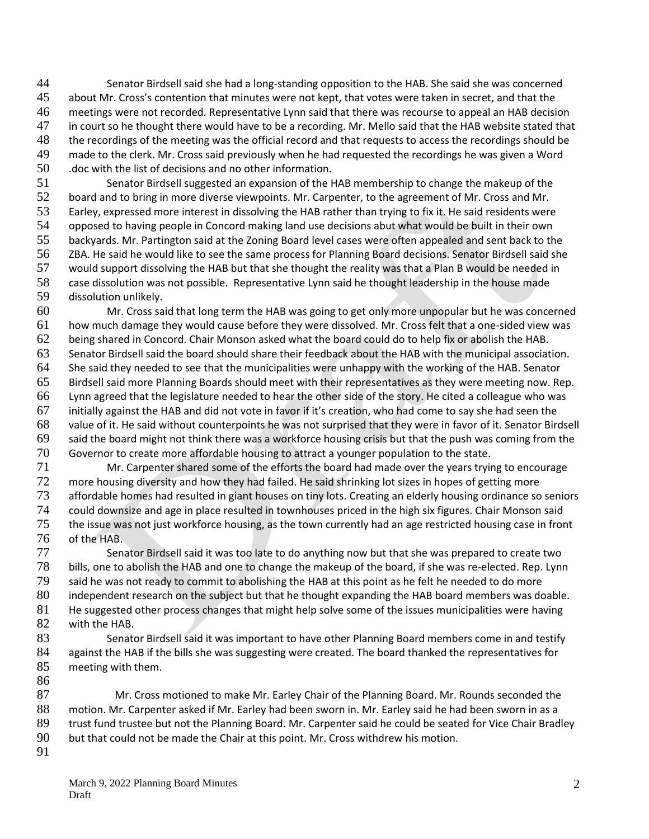Senator Birdsell said she had a long-standing opposition to the HAB. She said she was concerned about Mr. Cross's contention that minutes were not kept, that votes were taken in secret, and that the meetings were not recorded. Representative Lynn said that there was recourse to appeal an HAB decision 47 in court so he thought there would have to be a recording. Mr. Mello said that the HAB website stated that<br>48 the recordings of the meeting was the official record and that requests to access the recordings should be the recordings of the meeting was the official record and that requests to access the recordings should be made to the clerk. Mr. Cross said previously when he had requested the recordings he was given a Word .doc with the list of decisions and no other information.

 Senator Birdsell suggested an expansion of the HAB membership to change the makeup of the board and to bring in more diverse viewpoints. Mr. Carpenter, to the agreement of Mr. Cross and Mr. Earley, expressed more interest in dissolving the HAB rather than trying to fix it. He said residents were opposed to having people in Concord making land use decisions abut what would be built in their own backyards. Mr. Partington said at the Zoning Board level cases were often appealed and sent back to the ZBA. He said he would like to see the same process for Planning Board decisions. Senator Birdsell said she would support dissolving the HAB but that she thought the reality was that a Plan B would be needed in case dissolution was not possible. Representative Lynn said he thought leadership in the house made dissolution unlikely.

 Mr. Cross said that long term the HAB was going to get only more unpopular but he was concerned how much damage they would cause before they were dissolved. Mr. Cross felt that a one-sided view was being shared in Concord. Chair Monson asked what the board could do to help fix or abolish the HAB. Senator Birdsell said the board should share their feedback about the HAB with the municipal association. She said they needed to see that the municipalities were unhappy with the working of the HAB. Senator Birdsell said more Planning Boards should meet with their representatives as they were meeting now. Rep. Lynn agreed that the legislature needed to hear the other side of the story. He cited a colleague who was initially against the HAB and did not vote in favor if it's creation, who had come to say she had seen the value of it. He said without counterpoints he was not surprised that they were in favor of it. Senator Birdsell said the board might not think there was a workforce housing crisis but that the push was coming from the 70 Governor to create more affordable housing to attract a younger population to the state.<br>71 Mr. Carpenter shared some of the efforts the board had made over the vears tryin

Mr. Carpenter shared some of the efforts the board had made over the years trying to encourage more housing diversity and how they had failed. He said shrinking lot sizes in hopes of getting more affordable homes had resulted in giant houses on tiny lots. Creating an elderly housing ordinance so seniors could downsize and age in place resulted in townhouses priced in the high six figures. Chair Monson said the issue was not just workforce housing, as the town currently had an age restricted housing case in front of the HAB.

77 Senator Birdsell said it was too late to do anything now but that she was prepared to create two bills, one to abolish the HAB and one to change the makeup of the board, if she was re-elected. Rep. Lynn said he was not ready to commit to abolishing the HAB at this point as he felt he needed to do more independent research on the subject but that he thought expanding the HAB board members was doable. 81 He suggested other process changes that might help solve some of the issues municipalities were having with the HAB.

83 Senator Birdsell said it was important to have other Planning Board members come in and testify 84 against the HAB if the bills she was suggesting were created. The board thanked the representatives for meeting with them. 

 Mr. Cross motioned to make Mr. Earley Chair of the Planning Board. Mr. Rounds seconded the motion. Mr. Carpenter asked if Mr. Earley had been sworn in. Mr. Earley said he had been sworn in as a trust fund trustee but not the Planning Board. Mr. Carpenter said he could be seated for Vice Chair Bradley but that could not be made the Chair at this point. Mr. Cross withdrew his motion. 

March 9, 2022 Planning Board Minutes Draft